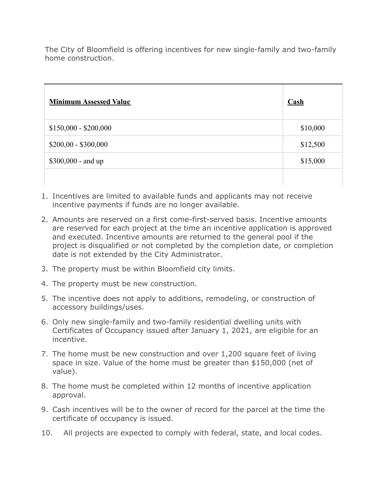The City of Bloomfield is offering incentives for new single-family and two-family home construction.

| <b>Minimum Assessed Value</b> | $\mathbf{Cash}$ |
|-------------------------------|-----------------|
| $$150,000 - $200,000$         | \$10,000        |
| $$200,00 - $300,000$          | \$12,500        |
| \$300,000 - and up            | \$15,000        |
|                               |                 |

- 1. Incentives are limited to available funds and applicants may not receive incentive payments if funds are no longer available.
- 2. Amounts are reserved on a first come-first-served basis. Incentive amounts are reserved for each project at the time an incentive application is approved and executed. Incentive amounts are returned to the general pool if the project is disqualified or not completed by the completion date, or completion date is not extended by the City Administrator.
- 3. The property must be within Bloomfield city limits.
- 4. The property must be new construction.
- 5. The incentive does not apply to additions, remodeling, or construction of accessory buildings/uses.
- 6. Only new single-family and two-family residential dwelling units with Certificates of Occupancy issued after January 1, 2021, are eligible for an incentive.
- 7. The home must be new construction and over 1,200 square feet of living space in size. Value of the home must be greater than \$150,000 (net of value).
- 8. The home must be completed within 12 months of incentive application approval.
- 9. Cash incentives will be to the owner of record for the parcel at the time the certificate of occupancy is issued.
- 10. All projects are expected to comply with federal, state, and local codes.